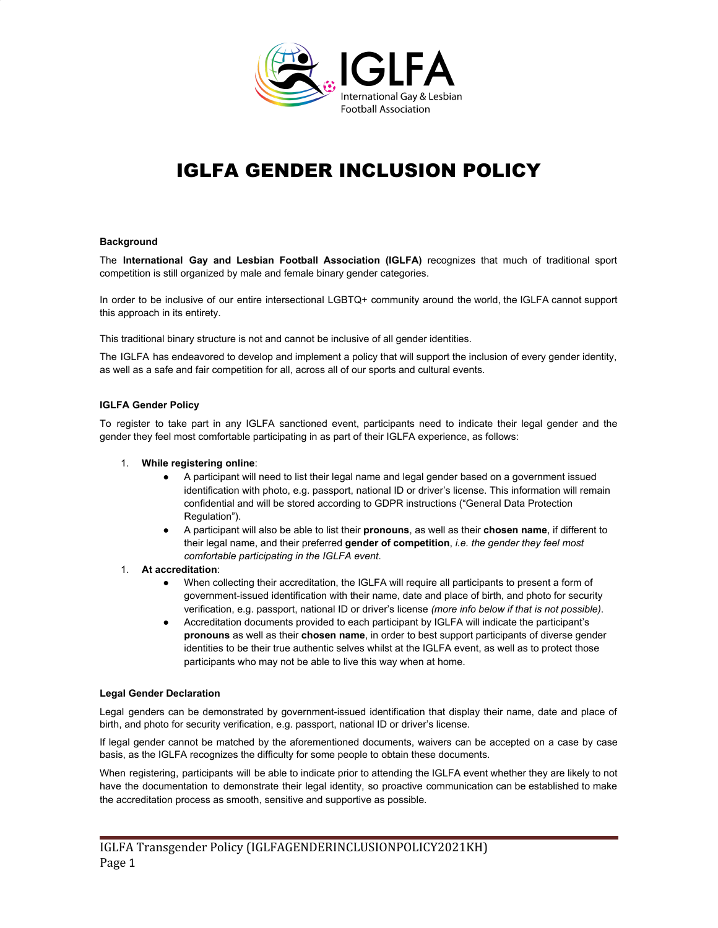

# IGLFA GENDER INCLUSION POLICY

## **Background**

The **International Gay and Lesbian Football Association (IGLFA)** recognizes that much of traditional sport competition is still organized by male and female binary gender categories.

In order to be inclusive of our entire intersectional LGBTQ+ community around the world, the IGLFA cannot support this approach in its entirety.

This traditional binary structure is not and cannot be inclusive of all gender identities.

The IGLFA has endeavored to develop and implement a policy that will support the inclusion of every gender identity, as well as a safe and fair competition for all, across all of our sports and cultural events.

## **IGLFA Gender Policy**

To register to take part in any IGLFA sanctioned event, participants need to indicate their legal gender and the gender they feel most comfortable participating in as part of their IGLFA experience, as follows:

- 1. **While registering online**:
	- A participant will need to list their legal name and legal gender based on a government issued identification with photo, e.g. passport, national ID or driver's license. This information will remain confidential and will be stored according to GDPR instructions ("General Data Protection Regulation").
	- A participant will also be able to list their **pronouns**, as well as their **chosen name**, if different to their legal name, and their preferred **gender of competition**, *i.e. the gender they feel most comfortable participating in the IGLFA event*.

## 1. **At accreditation**:

- When collecting their accreditation, the IGLFA will require all participants to present a form of government-issued identification with their name, date and place of birth, and photo for security verification, e.g. passport, national ID or driver's license *(more info below if that is not possible)*.
- Accreditation documents provided to each participant by IGLFA will indicate the participant's **pronouns** as well as their **chosen name**, in order to best support participants of diverse gender identities to be their true authentic selves whilst at the IGLFA event, as well as to protect those participants who may not be able to live this way when at home.

### **Legal Gender Declaration**

Legal genders can be demonstrated by government-issued identification that display their name, date and place of birth, and photo for security verification, e.g. passport, national ID or driver's license.

If legal gender cannot be matched by the aforementioned documents, waivers can be accepted on a case by case basis, as the IGLFA recognizes the difficulty for some people to obtain these documents.

When registering, participants will be able to indicate prior to attending the IGLFA event whether they are likely to not have the documentation to demonstrate their legal identity, so proactive communication can be established to make the accreditation process as smooth, sensitive and supportive as possible.